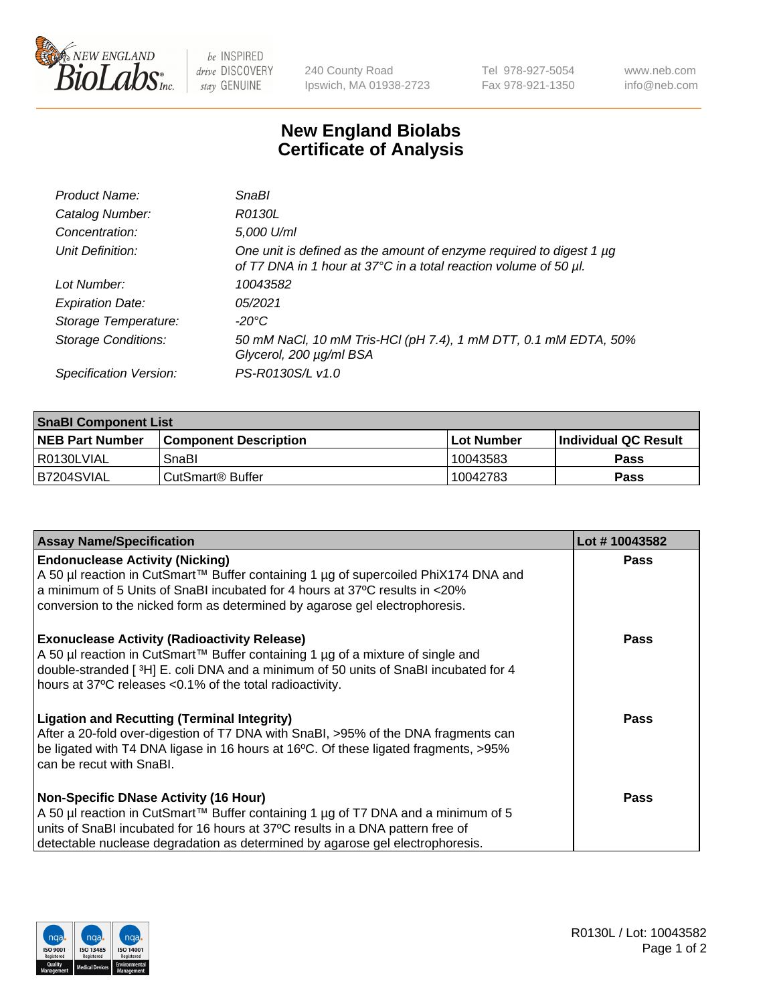

be INSPIRED drive DISCOVERY stay GENUINE

240 County Road Ipswich, MA 01938-2723 Tel 978-927-5054 Fax 978-921-1350

www.neb.com info@neb.com

## **New England Biolabs Certificate of Analysis**

| Product Name:              | <b>SnaBl</b>                                                                                                                                 |
|----------------------------|----------------------------------------------------------------------------------------------------------------------------------------------|
| Catalog Number:            | R0130L                                                                                                                                       |
| Concentration:             | 5,000 U/ml                                                                                                                                   |
| Unit Definition:           | One unit is defined as the amount of enzyme required to digest 1 $\mu$ g<br>of T7 DNA in 1 hour at 37°C in a total reaction volume of 50 µl. |
| Lot Number:                | 10043582                                                                                                                                     |
| <b>Expiration Date:</b>    | 05/2021                                                                                                                                      |
| Storage Temperature:       | $-20^{\circ}$ C                                                                                                                              |
| <b>Storage Conditions:</b> | 50 mM NaCl, 10 mM Tris-HCl (pH 7.4), 1 mM DTT, 0.1 mM EDTA, 50%<br>Glycerol, 200 µg/ml BSA                                                   |
| Specification Version:     | PS-R0130S/L v1.0                                                                                                                             |

| <b>SnaBI Component List</b> |                         |             |                             |  |
|-----------------------------|-------------------------|-------------|-----------------------------|--|
| <b>NEB Part Number</b>      | l Component Description | ⊺Lot Number | <b>Individual QC Result</b> |  |
| I R0130LVIAL                | SnaBl                   | 10043583    | Pass                        |  |
| B7204SVIAL                  | l CutSmart® Buffer      | 10042783    | Pass                        |  |

| <b>Assay Name/Specification</b>                                                                                                                                                                                                                                                                      | Lot #10043582 |
|------------------------------------------------------------------------------------------------------------------------------------------------------------------------------------------------------------------------------------------------------------------------------------------------------|---------------|
| <b>Endonuclease Activity (Nicking)</b><br>A 50 µl reaction in CutSmart™ Buffer containing 1 µg of supercoiled PhiX174 DNA and<br>a minimum of 5 Units of SnaBI incubated for 4 hours at 37°C results in <20%<br>conversion to the nicked form as determined by agarose gel electrophoresis.          | <b>Pass</b>   |
| <b>Exonuclease Activity (Radioactivity Release)</b><br>A 50 µl reaction in CutSmart™ Buffer containing 1 µg of a mixture of single and<br>double-stranded [3H] E. coli DNA and a minimum of 50 units of SnaBI incubated for 4<br>hours at 37°C releases <0.1% of the total radioactivity.            | Pass          |
| <b>Ligation and Recutting (Terminal Integrity)</b><br>After a 20-fold over-digestion of T7 DNA with SnaBI, >95% of the DNA fragments can<br>be ligated with T4 DNA ligase in 16 hours at 16°C. Of these ligated fragments, >95%<br>can be recut with SnaBI.                                          | <b>Pass</b>   |
| <b>Non-Specific DNase Activity (16 Hour)</b><br>A 50 µl reaction in CutSmart™ Buffer containing 1 µg of T7 DNA and a minimum of 5<br>units of SnaBI incubated for 16 hours at 37°C results in a DNA pattern free of<br>detectable nuclease degradation as determined by agarose gel electrophoresis. | Pass          |